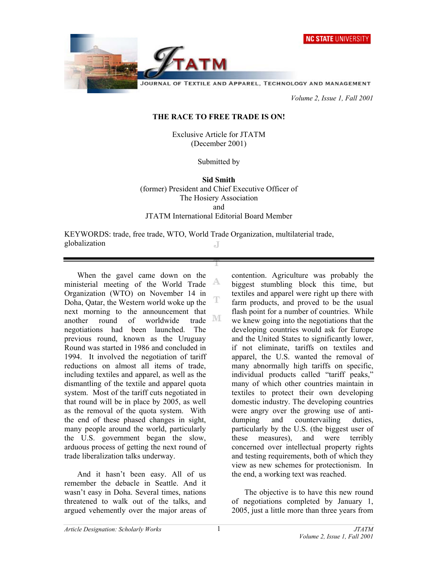**NC STATE UNIVERSITY** 



 *Volume 2, Issue 1, Fall 2001* 

## **THE RACE TO FREE TRADE IS ON!**

Exclusive Article for JTATM (December 2001)

Submitted by

**Sid Smith**  (former) President and Chief Executive Officer of The Hosiery Association and JTATM International Editorial Board Member

KEYWORDS: trade, free trade, WTO, World Trade Organization, multilaterial trade, globalization J

 When the gavel came down on the ministerial meeting of the World Trade Organization (WTO) on November 14 in Doha, Qatar, the Western world woke up the next morning to the announcement that another round of worldwide negotiations had been launched. The previous round, known as the Uruguay Round was started in 1986 and concluded in 1994. It involved the negotiation of tariff reductions on almost all items of trade, including textiles and apparel, as well as the dismantling of the textile and apparel quota system. Most of the tariff cuts negotiated in that round will be in place by 2005, as well as the removal of the quota system. With the end of these phased changes in sight, many people around the world, particularly the U.S. government began the slow, arduous process of getting the next round of trade liberalization talks underway.

 And it hasn't been easy. All of us remember the debacle in Seattle. And it wasn't easy in Doha. Several times, nations threatened to walk out of the talks, and argued vehemently over the major areas of contention. Agriculture was probably the biggest stumbling block this time, but textiles and apparel were right up there with farm products, and proved to be the usual flash point for a number of countries. While we knew going into the negotiations that the developing countries would ask for Europe and the United States to significantly lower, if not eliminate, tariffs on textiles and apparel, the U.S. wanted the removal of many abnormally high tariffs on specific, individual products called "tariff peaks," many of which other countries maintain in textiles to protect their own developing domestic industry. The developing countries were angry over the growing use of antidumping and countervailing duties, particularly by the U.S. (the biggest user of these measures), and were terribly concerned over intellectual property rights and testing requirements, both of which they view as new schemes for protectionism. In the end, a working text was reached.

 The objective is to have this new round of negotiations completed by January 1, 2005, just a little more than three years from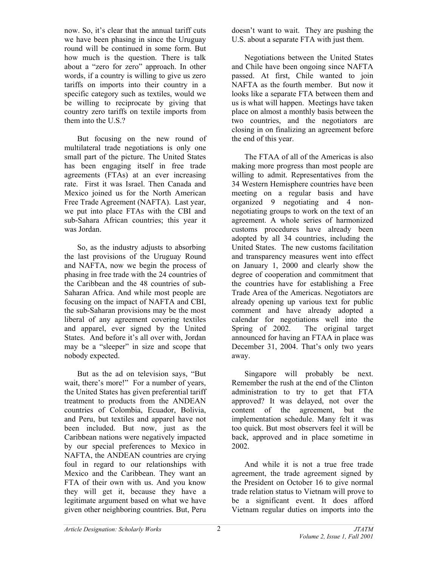now. So, it's clear that the annual tariff cuts we have been phasing in since the Uruguay round will be continued in some form. But how much is the question. There is talk about a "zero for zero" approach. In other words, if a country is willing to give us zero tariffs on imports into their country in a specific category such as textiles, would we be willing to reciprocate by giving that country zero tariffs on textile imports from them into the U.S.?

 But focusing on the new round of multilateral trade negotiations is only one small part of the picture. The United States has been engaging itself in free trade agreements (FTAs) at an ever increasing rate. First it was Israel. Then Canada and Mexico joined us for the North American Free Trade Agreement (NAFTA). Last year, we put into place FTAs with the CBI and sub-Sahara African countries; this year it was Jordan.

 So, as the industry adjusts to absorbing the last provisions of the Uruguay Round and NAFTA, now we begin the process of phasing in free trade with the 24 countries of the Caribbean and the 48 countries of sub-Saharan Africa. And while most people are focusing on the impact of NAFTA and CBI, the sub-Saharan provisions may be the most liberal of any agreement covering textiles and apparel, ever signed by the United States. And before it's all over with, Jordan may be a "sleeper" in size and scope that nobody expected.

 But as the ad on television says, "But wait, there's more!" For a number of years, the United States has given preferential tariff treatment to products from the ANDEAN countries of Colombia, Ecuador, Bolivia, and Peru, but textiles and apparel have not been included. But now, just as the Caribbean nations were negatively impacted by our special preferences to Mexico in NAFTA, the ANDEAN countries are crying foul in regard to our relationships with Mexico and the Caribbean. They want an FTA of their own with us. And you know they will get it, because they have a legitimate argument based on what we have given other neighboring countries. But, Peru

doesn't want to wait. They are pushing the U.S. about a separate FTA with just them.

 Negotiations between the United States and Chile have been ongoing since NAFTA passed. At first, Chile wanted to join NAFTA as the fourth member. But now it looks like a separate FTA between them and us is what will happen. Meetings have taken place on almost a monthly basis between the two countries, and the negotiators are closing in on finalizing an agreement before the end of this year.

 The FTAA of all of the Americas is also making more progress than most people are willing to admit. Representatives from the 34 Western Hemisphere countries have been meeting on a regular basis and have organized 9 negotiating and 4 nonnegotiating groups to work on the text of an agreement. A whole series of harmonized customs procedures have already been adopted by all 34 countries, including the United States. The new customs facilitation and transparency measures went into effect on January 1, 2000 and clearly show the degree of cooperation and commitment that the countries have for establishing a Free Trade Area of the Americas. Negotiators are already opening up various text for public comment and have already adopted a calendar for negotiations well into the Spring of 2002. The original target announced for having an FTAA in place was December 31, 2004. That's only two years away.

 Singapore will probably be next. Remember the rush at the end of the Clinton administration to try to get that FTA approved? It was delayed, not over the content of the agreement, but the implementation schedule. Many felt it was too quick. But most observers feel it will be back, approved and in place sometime in 2002.

 And while it is not a true free trade agreement, the trade agreement signed by the President on October 16 to give normal trade relation status to Vietnam will prove to be a significant event. It does afford Vietnam regular duties on imports into the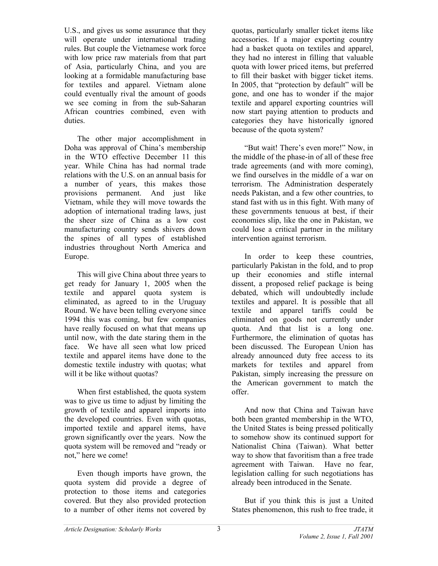U.S., and gives us some assurance that they will operate under international trading rules. But couple the Vietnamese work force with low price raw materials from that part of Asia, particularly China, and you are looking at a formidable manufacturing base for textiles and apparel. Vietnam alone could eventually rival the amount of goods we see coming in from the sub-Saharan African countries combined, even with duties.

 The other major accomplishment in Doha was approval of China's membership in the WTO effective December 11 this year. While China has had normal trade relations with the U.S. on an annual basis for a number of years, this makes those provisions permanent. And just like Vietnam, while they will move towards the adoption of international trading laws, just the sheer size of China as a low cost manufacturing country sends shivers down the spines of all types of established industries throughout North America and Europe.

 This will give China about three years to get ready for January 1, 2005 when the textile and apparel quota system is eliminated, as agreed to in the Uruguay Round. We have been telling everyone since 1994 this was coming, but few companies have really focused on what that means up until now, with the date staring them in the face. We have all seen what low priced textile and apparel items have done to the domestic textile industry with quotas; what will it be like without quotas?

 When first established, the quota system was to give us time to adjust by limiting the growth of textile and apparel imports into the developed countries. Even with quotas, imported textile and apparel items, have grown significantly over the years. Now the quota system will be removed and "ready or not," here we come!

 Even though imports have grown, the quota system did provide a degree of protection to those items and categories covered. But they also provided protection to a number of other items not covered by

quotas, particularly smaller ticket items like accessories. If a major exporting country had a basket quota on textiles and apparel, they had no interest in filling that valuable quota with lower priced items, but preferred to fill their basket with bigger ticket items. In 2005, that "protection by default" will be gone, and one has to wonder if the major textile and apparel exporting countries will now start paying attention to products and categories they have historically ignored because of the quota system?

 "But wait! There's even more!" Now, in the middle of the phase-in of all of these free trade agreements (and with more coming), we find ourselves in the middle of a war on terrorism. The Administration desperately needs Pakistan, and a few other countries, to stand fast with us in this fight. With many of these governments tenuous at best, if their economies slip, like the one in Pakistan, we could lose a critical partner in the military intervention against terrorism.

 In order to keep these countries, particularly Pakistan in the fold, and to prop up their economies and stifle internal dissent, a proposed relief package is being debated, which will undoubtedly include textiles and apparel. It is possible that all textile and apparel tariffs could be eliminated on goods not currently under quota. And that list is a long one. Furthermore, the elimination of quotas has been discussed. The European Union has already announced duty free access to its markets for textiles and apparel from Pakistan, simply increasing the pressure on the American government to match the offer.

 And now that China and Taiwan have both been granted membership in the WTO, the United States is being pressed politically to somehow show its continued support for Nationalist China (Taiwan). What better way to show that favoritism than a free trade agreement with Taiwan. Have no fear, legislation calling for such negotiations has already been introduced in the Senate.

 But if you think this is just a United States phenomenon, this rush to free trade, it